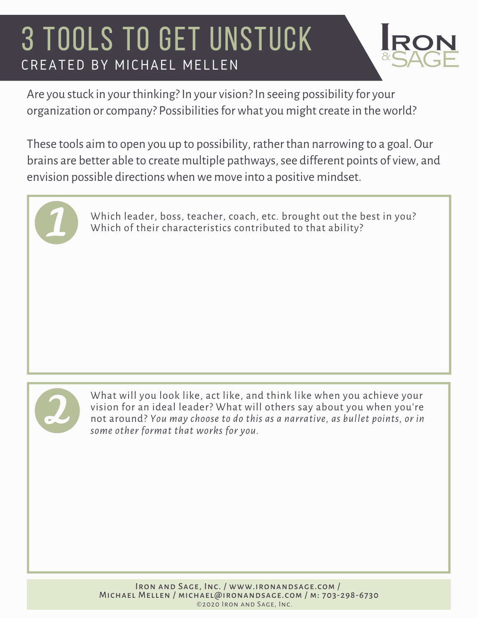### 3 TOOLS TO GET UNSTUCK CREATED BY MICHAEL MELLEN



Are you stuck in your thinking? In your vision? In seeing possibility for your organization or company? Possibilities for what you might create in the world?

These tools aim to open you up to possibility, rather than narrowing to a goal. Our brains are better able to create multiple pathways, see different points of view, and envision possible directionswhenwe move into a positive mindset.



Which leader, boss, teacher, coach, etc. brought out the best in you? Which of their characteristics contributed to that ability?



What will you look like, act like, and think like when you achieve your vision for an ideal leader? What will others say about you when you're not around? *You may choose to do this as a narrative, as bullet points, or in some other format that works for you.*